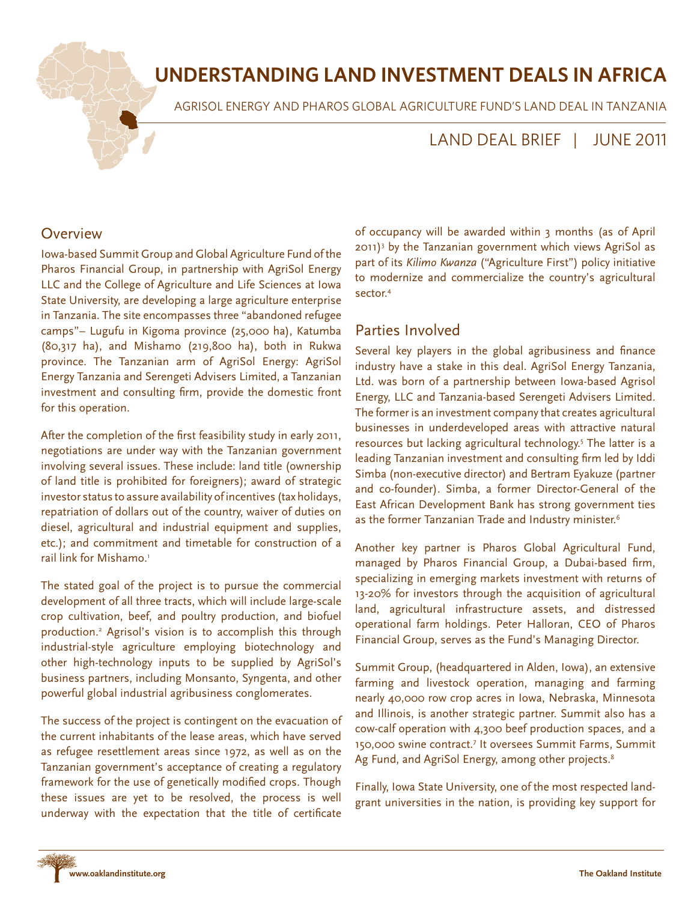# **UNDERSTANDING LAND INVESTMENT DEALS IN AFRICA**

AGRISOL ENERGY AND PHAROS GLOBAL AGRICULTURE FUND'S LAND DEAL IN TANZANIA

## LAND DEAL BRIEF | JUNE 2011

#### **Overview**

Iowa-based Summit Group and Global Agriculture Fund of the Pharos Financial Group, in partnership with AgriSol Energy LLC and the College of Agriculture and Life Sciences at Iowa State University, are developing a large agriculture enterprise in Tanzania. The site encompasses three "abandoned refugee camps"– Lugufu in Kigoma province (25,000 ha), Katumba (80,317 ha), and Mishamo (219,800 ha), both in Rukwa province. The Tanzanian arm of AgriSol Energy: AgriSol Energy Tanzania and Serengeti Advisers Limited, a Tanzanian investment and consulting firm, provide the domestic front for this operation.

After the completion of the first feasibility study in early 2011, negotiations are under way with the Tanzanian government involving several issues. These include: land title (ownership of land title is prohibited for foreigners); award of strategic investor status to assure availability of incentives (tax holidays, repatriation of dollars out of the country, waiver of duties on diesel, agricultural and industrial equipment and supplies, etc.); and commitment and timetable for construction of a rail link for Mishamo.<sup>1</sup>

The stated goal of the project is to pursue the commercial development of all three tracts, which will include large-scale crop cultivation, beef, and poultry production, and biofuel production.2 Agrisol's vision is to accomplish this through industrial-style agriculture employing biotechnology and other high-technology inputs to be supplied by AgriSol's business partners, including Monsanto, Syngenta, and other powerful global industrial agribusiness conglomerates.

The success of the project is contingent on the evacuation of the current inhabitants of the lease areas, which have served as refugee resettlement areas since 1972, as well as on the Tanzanian government's acceptance of creating a regulatory framework for the use of genetically modified crops. Though these issues are yet to be resolved, the process is well underway with the expectation that the title of certificate

of occupancy will be awarded within 3 months (as of April 2011)3 by the Tanzanian government which views AgriSol as part of its *Kilimo Kwanza* ("Agriculture First") policy initiative to modernize and commercialize the country's agricultural sector.4

## Parties Involved

Several key players in the global agribusiness and finance industry have a stake in this deal. AgriSol Energy Tanzania, Ltd. was born of a partnership between Iowa-based Agrisol Energy, LLC and Tanzania-based Serengeti Advisers Limited. The former is an investment company that creates agricultural businesses in underdeveloped areas with attractive natural resources but lacking agricultural technology.<sup>5</sup> The latter is a leading Tanzanian investment and consulting firm led by Iddi Simba (non-executive director) and Bertram Eyakuze (partner and co-founder). Simba, a former Director-General of the East African Development Bank has strong government ties as the former Tanzanian Trade and Industry minister.<sup>6</sup>

Another key partner is Pharos Global Agricultural Fund, managed by Pharos Financial Group, a Dubai-based firm, specializing in emerging markets investment with returns of 13-20% for investors through the acquisition of agricultural land, agricultural infrastructure assets, and distressed operational farm holdings. Peter Halloran, CEO of Pharos Financial Group, serves as the Fund's Managing Director.

Summit Group, (headquartered in Alden, Iowa), an extensive farming and livestock operation, managing and farming nearly 40,000 row crop acres in Iowa, Nebraska, Minnesota and Illinois, is another strategic partner. Summit also has a cow-calf operation with 4,300 beef production spaces, and a 150,000 swine contract.7 It oversees Summit Farms, Summit Ag Fund, and AgriSol Energy, among other projects.<sup>8</sup>

Finally, Iowa State University, one of the most respected landgrant universities in the nation, is providing key support for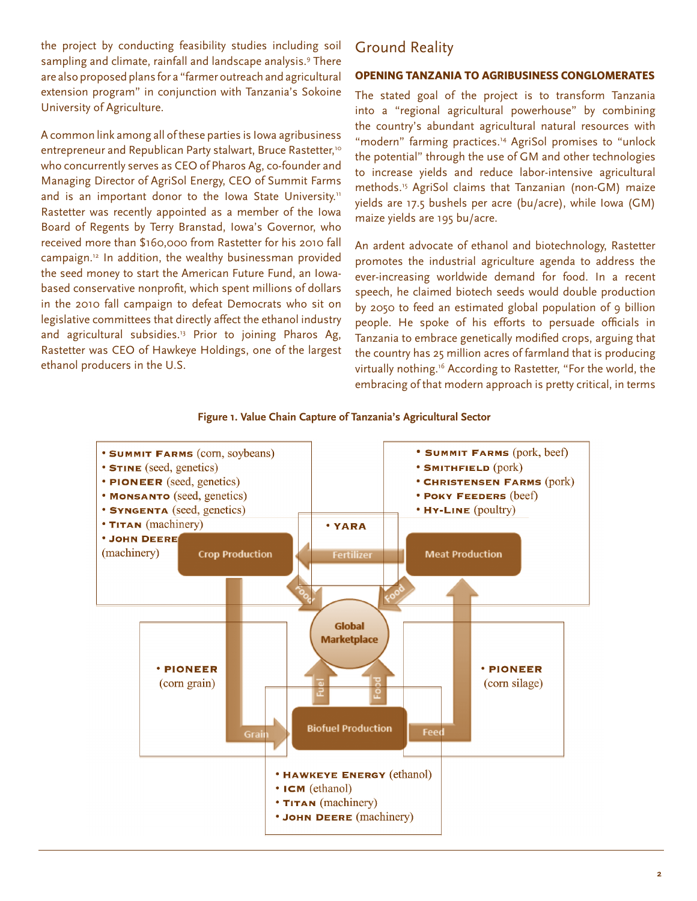the project by conducting feasibility studies including soil sampling and climate, rainfall and landscape analysis.<sup>9</sup> There are also proposed plans for a "farmer outreach and agricultural extension program" in conjunction with Tanzania's Sokoine University of Agriculture.

A common link among all of these parties is Iowa agribusiness entrepreneur and Republican Party stalwart, Bruce Rastetter,<sup>10</sup> who concurrently serves as CEO of Pharos Ag, co-founder and Managing Director of AgriSol Energy, CEO of Summit Farms and is an important donor to the Iowa State University.<sup>11</sup> Rastetter was recently appointed as a member of the Iowa Board of Regents by Terry Branstad, Iowa's Governor, who received more than \$160,000 from Rastetter for his 2010 fall campaign.12 In addition, the wealthy businessman provided the seed money to start the American Future Fund, an Iowabased conservative nonprofit, which spent millions of dollars in the 2010 fall campaign to defeat Democrats who sit on legislative committees that directly affect the ethanol industry and agricultural subsidies.<sup>13</sup> Prior to joining Pharos Ag, Rastetter was CEO of Hawkeye Holdings, one of the largest ethanol producers in the U.S.

## Ground Reality

#### **OPENING TANZANIA TO AGRIBUSINESS CONGLOMERATES**

The stated goal of the project is to transform Tanzania into a "regional agricultural powerhouse" by combining the country's abundant agricultural natural resources with "modern" farming practices.14 AgriSol promises to "unlock the potential" through the use of GM and other technologies to increase yields and reduce labor-intensive agricultural methods.15 AgriSol claims that Tanzanian (non-GM) maize yields are 17.5 bushels per acre (bu/acre), while Iowa (GM) maize yields are 195 bu/acre.

An ardent advocate of ethanol and biotechnology, Rastetter promotes the industrial agriculture agenda to address the ever-increasing worldwide demand for food. In a recent speech, he claimed biotech seeds would double production by 2050 to feed an estimated global population of 9 billion people. He spoke of his efforts to persuade officials in Tanzania to embrace genetically modified crops, arguing that the country has 25 million acres of farmland that is producing virtually nothing.<sup>16</sup> According to Rastetter, "For the world, the embracing of that modern approach is pretty critical, in terms



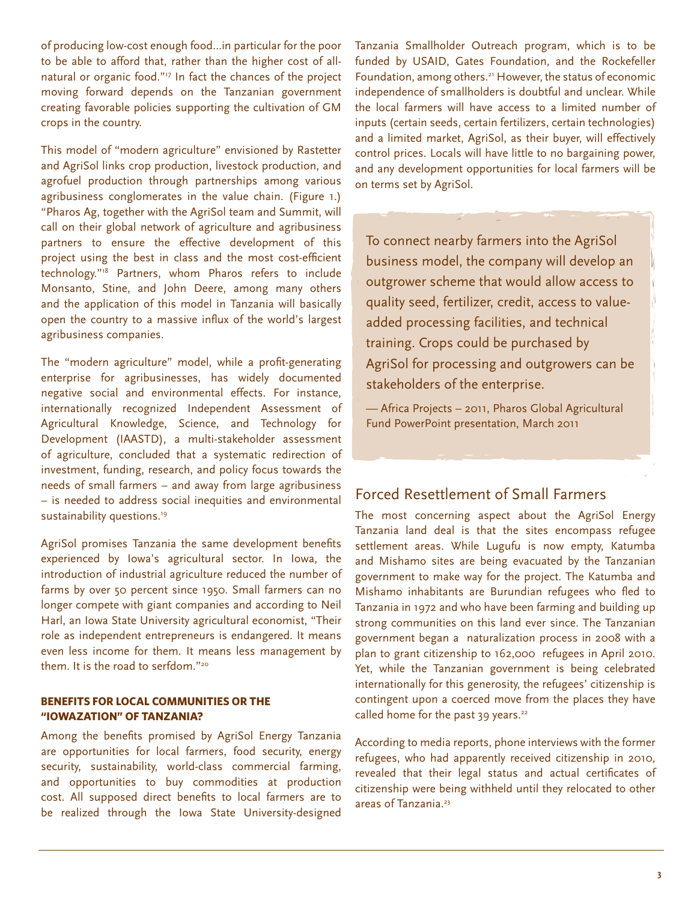of producing low-cost enough food…in particular for the poor to be able to afford that, rather than the higher cost of allnatural or organic food."17 In fact the chances of the project moving forward depends on the Tanzanian government creating favorable policies supporting the cultivation of GM crops in the country.

This model of "modern agriculture" envisioned by Rastetter and AgriSol links crop production, livestock production, and agrofuel production through partnerships among various agribusiness conglomerates in the value chain. (Figure 1.) "Pharos Ag, together with the AgriSol team and Summit, will call on their global network of agriculture and agribusiness partners to ensure the effective development of this project using the best in class and the most cost-efficient technology."18 Partners, whom Pharos refers to include Monsanto, Stine, and John Deere, among many others and the application of this model in Tanzania will basically open the country to a massive influx of the world's largest agribusiness companies.

The "modern agriculture" model, while a profit-generating enterprise for agribusinesses, has widely documented negative social and environmental effects. For instance, internationally recognized Independent Assessment of Agricultural Knowledge, Science, and Technology for Development (IAASTD), a multi-stakeholder assessment of agriculture, concluded that a systematic redirection of investment, funding, research, and policy focus towards the needs of small farmers – and away from large agribusiness – is needed to address social inequities and environmental sustainability questions.<sup>19</sup>

AgriSol promises Tanzania the same development benefits experienced by Iowa's agricultural sector. In Iowa, the introduction of industrial agriculture reduced the number of farms by over 50 percent since 1950. Small farmers can no longer compete with giant companies and according to Neil Harl, an Iowa State University agricultural economist, "Their role as independent entrepreneurs is endangered. It means even less income for them. It means less management by them. It is the road to serfdom."<sup>20</sup>

#### **BENEFITS FOR LOCAL COMMUNITIES OR THE "IOWAZATION" OF TANZANIA?**

Among the benefits promised by AgriSol Energy Tanzania are opportunities for local farmers, food security, energy security, sustainability, world-class commercial farming, and opportunities to buy commodities at production cost. All supposed direct benefits to local farmers are to be realized through the Iowa State University-designed

Tanzania Smallholder Outreach program, which is to be funded by USAID, Gates Foundation, and the Rockefeller Foundation, among others.<sup>21</sup> However, the status of economic independence of smallholders is doubtful and unclear. While the local farmers will have access to a limited number of inputs (certain seeds, certain fertilizers, certain technologies) and a limited market, AgriSol, as their buyer, will effectively control prices. Locals will have little to no bargaining power, and any development opportunities for local farmers will be on terms set by AgriSol.

To connect nearby farmers into the AgriSol business model, the company will develop an outgrower scheme that would allow access to quality seed, fertilizer, credit, access to valueadded processing facilities, and technical training. Crops could be purchased by AgriSol for processing and outgrowers can be stakeholders of the enterprise.

— Africa Projects – 2011, Pharos Global Agricultural Fund PowerPoint presentation, March 2011

## Forced Resettlement of Small Farmers

The most concerning aspect about the AgriSol Energy Tanzania land deal is that the sites encompass refugee settlement areas. While Lugufu is now empty, Katumba and Mishamo sites are being evacuated by the Tanzanian government to make way for the project. The Katumba and Mishamo inhabitants are Burundian refugees who fled to Tanzania in 1972 and who have been farming and building up strong communities on this land ever since. The Tanzanian government began a naturalization process in 2008 with a plan to grant citizenship to 162,000 refugees in April 2010. Yet, while the Tanzanian government is being celebrated internationally for this generosity, the refugees' citizenship is contingent upon a coerced move from the places they have called home for the past 39 years.<sup>22</sup>

According to media reports, phone interviews with the former refugees, who had apparently received citizenship in 2010, revealed that their legal status and actual certificates of citizenship were being withheld until they relocated to other areas of Tanzania.<sup>23</sup>